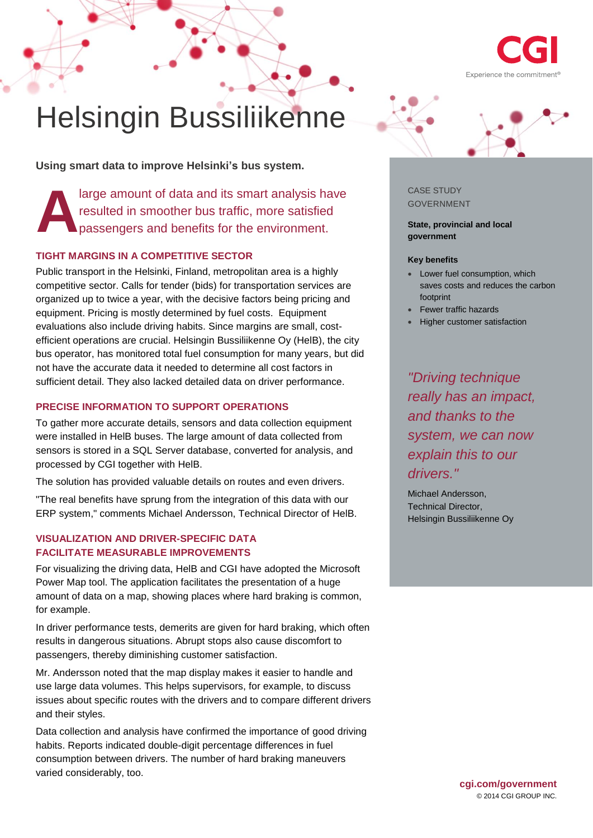

# Helsingin Bussiliikenne

**Using smart data to improve Helsinki's bus system.**

large amount of data and its smart analysis have resulted in smoother bus traffic, more satisfied passengers and benefits for the environment. **A**

## **TIGHT MARGINS IN A COMPETITIVE SECTOR**

Public transport in the Helsinki, Finland, metropolitan area is a highly competitive sector. Calls for tender (bids) for transportation services are organized up to twice a year, with the decisive factors being pricing and equipment. Pricing is mostly determined by fuel costs. Equipment evaluations also include driving habits. Since margins are small, costefficient operations are crucial. Helsingin Bussiliikenne Oy (HelB), the city bus operator, has monitored total fuel consumption for many years, but did not have the accurate data it needed to determine all cost factors in sufficient detail. They also lacked detailed data on driver performance.

#### **PRECISE INFORMATION TO SUPPORT OPERATIONS**

To gather more accurate details, sensors and data collection equipment were installed in HelB buses. The large amount of data collected from sensors is stored in a SQL Server database, converted for analysis, and processed by CGI together with HelB.

The solution has provided valuable details on routes and even drivers.

"The real benefits have sprung from the integration of this data with our ERP system," comments Michael Andersson, Technical Director of HelB.

### **VISUALIZATION AND DRIVER-SPECIFIC DATA FACILITATE MEASURABLE IMPROVEMENTS**

For visualizing the driving data, HelB and CGI have adopted the Microsoft Power Map tool. The application facilitates the presentation of a huge amount of data on a map, showing places where hard braking is common, for example.

In driver performance tests, demerits are given for hard braking, which often results in dangerous situations. Abrupt stops also cause discomfort to passengers, thereby diminishing customer satisfaction.

Mr. Andersson noted that the map display makes it easier to handle and use large data volumes. This helps supervisors, for example, to discuss issues about specific routes with the drivers and to compare different drivers and their styles.

Data collection and analysis have confirmed the importance of good driving habits. Reports indicated double-digit percentage differences in fuel consumption between drivers. The number of hard braking maneuvers varied considerably, too.



CASE STUDY GOVERNMENT

**State, provincial and local government** 

#### **Key benefits**

- Lower fuel consumption, which saves costs and reduces the carbon footprint
- Fewer traffic hazards
- Higher customer satisfaction

*"Driving technique really has an impact, and thanks to the system, we can now explain this to our drivers."* 

Michael Andersson, Technical Director, Helsingin Bussiliikenne Oy